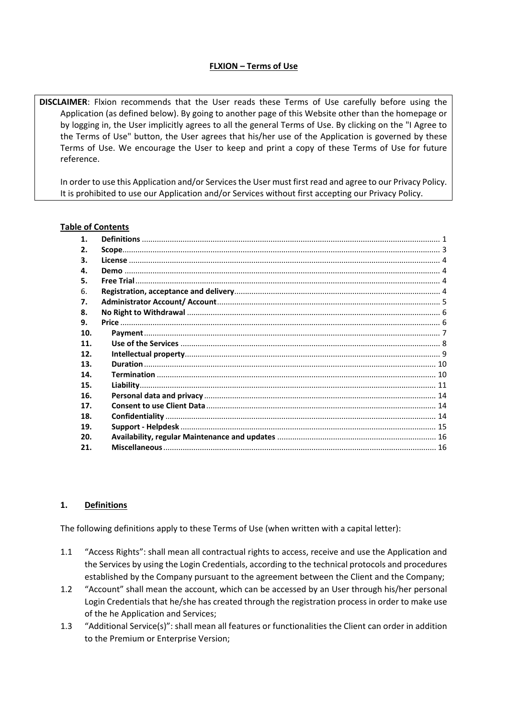# **FLXION – Terms of Use**

**DISCLAIMER**: Flxion recommends that the User reads these Terms of Use carefully before using the Application (as defined below). By going to another page of this Website other than the homepage or by logging in, the User implicitly agrees to all the general Terms of Use. By clicking on the "I Agree to the Terms of Use" button, the User agrees that his/her use of the Application is governed by these Terms of Use. We encourage the User to keep and print a copy of these Terms of Use for future reference.

In order to use this Application and/or Services the User must first read and agree to our Privacy Policy. It is prohibited to use our Application and/or Services without first accepting our Privacy Policy.

### **Table of Contents**

| $\mathbf 1$ . |  |
|---------------|--|
| 2.            |  |
| 3.            |  |
| 4.            |  |
| 5.            |  |
| 6.            |  |
| 7.            |  |
| 8.            |  |
| 9.            |  |
| 10.           |  |
| 11.           |  |
| 12.           |  |
| 13.           |  |
| 14.           |  |
| 15.           |  |
| 16.           |  |
| 17.           |  |
| 18.           |  |
| 19.           |  |
| 20.           |  |
| 21.           |  |

### <span id="page-0-0"></span>**1. Definitions**

The following definitions apply to these Terms of Use (when written with a capital letter):

- 1.1 "Access Rights": shall mean all contractual rights to access, receive and use the Application and the Services by using the Login Credentials, according to the technical protocols and procedures established by the Company pursuant to the agreement between the Client and the Company;
- 1.2 "Account" shall mean the account, which can be accessed by an User through his/her personal Login Credentials that he/she has created through the registration process in order to make use of the he Application and Services;
- 1.3 "Additional Service(s)": shall mean all features or functionalities the Client can order in addition to the Premium or Enterprise Version;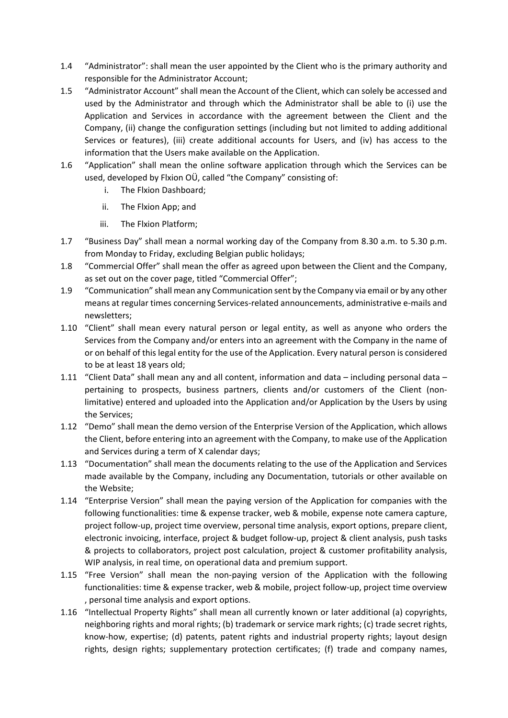- 1.4 "Administrator": shall mean the user appointed by the Client who is the primary authority and responsible for the Administrator Account;
- 1.5 "Administrator Account" shall mean the Account of the Client, which can solely be accessed and used by the Administrator and through which the Administrator shall be able to (i) use the Application and Services in accordance with the agreement between the Client and the Company, (ii) change the configuration settings (including but not limited to adding additional Services or features), (iii) create additional accounts for Users, and (iv) has access to the information that the Users make available on the Application.
- 1.6 "Application" shall mean the online software application through which the Services can be used, developed by Flxion OÜ, called "the Company" consisting of:
	- i. The Flxion Dashboard;
	- ii. The Flxion App; and
	- iii. The Flxion Platform;
- 1.7 "Business Day" shall mean a normal working day of the Company from 8.30 a.m. to 5.30 p.m. from Monday to Friday, excluding Belgian public holidays;
- 1.8 "Commercial Offer" shall mean the offer as agreed upon between the Client and the Company, as set out on the cover page, titled "Commercial Offer";
- 1.9 "Communication" shall mean any Communication sent by the Company via email or by any other means at regular times concerning Services-related announcements, administrative e-mails and newsletters;
- 1.10 "Client" shall mean every natural person or legal entity, as well as anyone who orders the Services from the Company and/or enters into an agreement with the Company in the name of or on behalf of this legal entity for the use of the Application. Every natural person is considered to be at least 18 years old;
- 1.11 "Client Data" shall mean any and all content, information and data including personal data pertaining to prospects, business partners, clients and/or customers of the Client (nonlimitative) entered and uploaded into the Application and/or Application by the Users by using the Services;
- 1.12 "Demo" shall mean the demo version of the Enterprise Version of the Application, which allows the Client, before entering into an agreement with the Company, to make use of the Application and Services during a term of X calendar days;
- 1.13 "Documentation" shall mean the documents relating to the use of the Application and Services made available by the Company, including any Documentation, tutorials or other available on the Website;
- 1.14 "Enterprise Version" shall mean the paying version of the Application for companies with the following functionalities: time & expense tracker, web & mobile, expense note camera capture, project follow-up, project time overview, personal time analysis, export options, prepare client, electronic invoicing, interface, project & budget follow-up, project & client analysis, push tasks & projects to collaborators, project post calculation, project & customer profitability analysis, WIP analysis, in real time, on operational data and premium support.
- 1.15 "Free Version" shall mean the non-paying version of the Application with the following functionalities: time & expense tracker, web & mobile, project follow-up, project time overview , personal time analysis and export options.
- 1.16 "Intellectual Property Rights" shall mean all currently known or later additional (a) copyrights, neighboring rights and moral rights; (b) trademark or service mark rights; (c) trade secret rights, know-how, expertise; (d) patents, patent rights and industrial property rights; layout design rights, design rights; supplementary protection certificates; (f) trade and company names,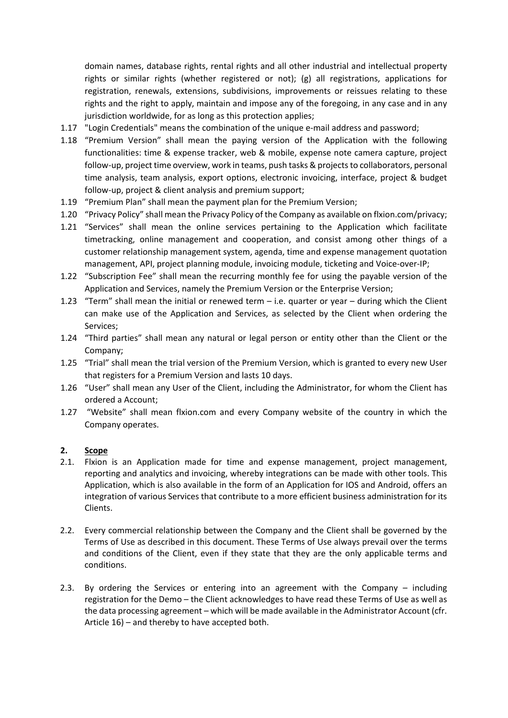domain names, database rights, rental rights and all other industrial and intellectual property rights or similar rights (whether registered or not); (g) all registrations, applications for registration, renewals, extensions, subdivisions, improvements or reissues relating to these rights and the right to apply, maintain and impose any of the foregoing, in any case and in any jurisdiction worldwide, for as long as this protection applies;

- 1.17 "Login Credentials" means the combination of the unique e-mail address and password;
- 1.18 "Premium Version" shall mean the paying version of the Application with the following functionalities: time & expense tracker, web & mobile, expense note camera capture, project follow-up, project time overview, work in teams, push tasks & projects to collaborators, personal time analysis, team analysis, export options, electronic invoicing, interface, project & budget follow-up, project & client analysis and premium support;
- 1.19 "Premium Plan" shall mean the payment plan for the Premium Version;
- 1.20 "Privacy Policy" shall mean the Privacy Policy of the Company as available on flxion.com/privacy;
- 1.21 "Services" shall mean the online services pertaining to the Application which facilitate timetracking, online management and cooperation, and consist among other things of a customer relationship management system, agenda, time and expense management quotation management, API, project planning module, invoicing module, ticketing and Voice-over-IP;
- 1.22 "Subscription Fee" shall mean the recurring monthly fee for using the payable version of the Application and Services, namely the Premium Version or the Enterprise Version;
- 1.23 "Term" shall mean the initial or renewed term i.e. quarter or year during which the Client can make use of the Application and Services, as selected by the Client when ordering the Services;
- 1.24 "Third parties" shall mean any natural or legal person or entity other than the Client or the Company;
- 1.25 "Trial" shall mean the trial version of the Premium Version, which is granted to every new User that registers for a Premium Version and lasts 10 days.
- 1.26 "User" shall mean any User of the Client, including the Administrator, for whom the Client has ordered a Account;
- 1.27 "Website" shall mean flxion.com and every Company website of the country in which the Company operates.

### <span id="page-2-0"></span>**2. Scope**

- 2.1. Flxion is an Application made for time and expense management, project management, reporting and analytics and invoicing, whereby integrations can be made with other tools. This Application, which is also available in the form of an Application for IOS and Android, offers an integration of various Services that contribute to a more efficient business administration for its Clients.
- 2.2. Every commercial relationship between the Company and the Client shall be governed by the Terms of Use as described in this document. These Terms of Use always prevail over the terms and conditions of the Client, even if they state that they are the only applicable terms and conditions.
- 2.3. By ordering the Services or entering into an agreement with the Company including registration for the Demo – the Client acknowledges to have read these Terms of Use as well as the data processing agreement – which will be made available in the Administrator Account (cfr. Article 16) – and thereby to have accepted both.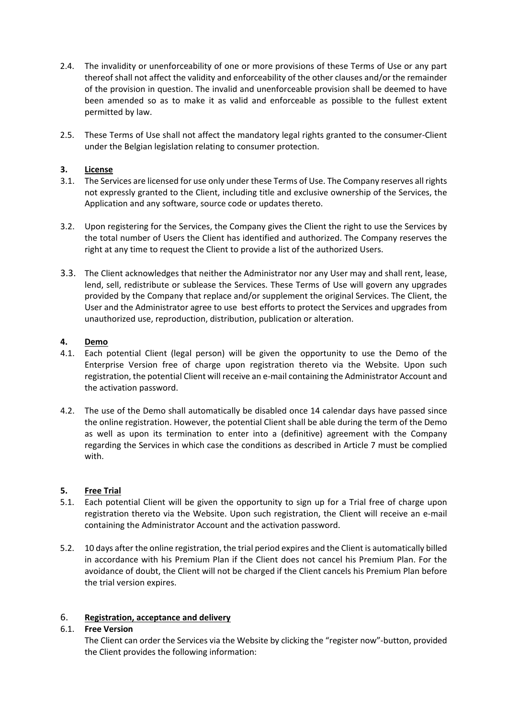- 2.4. The invalidity or unenforceability of one or more provisions of these Terms of Use or any part thereof shall not affect the validity and enforceability of the other clauses and/or the remainder of the provision in question. The invalid and unenforceable provision shall be deemed to have been amended so as to make it as valid and enforceable as possible to the fullest extent permitted by law.
- 2.5. These Terms of Use shall not affect the mandatory legal rights granted to the consumer-Client under the Belgian legislation relating to consumer protection.

## <span id="page-3-0"></span>**3. License**

- 3.1. The Services are licensed for use only under these Terms of Use. The Company reserves all rights not expressly granted to the Client, including title and exclusive ownership of the Services, the Application and any software, source code or updates thereto.
- 3.2. Upon registering for the Services, the Company gives the Client the right to use the Services by the total number of Users the Client has identified and authorized. The Company reserves the right at any time to request the Client to provide a list of the authorized Users.
- 3.3. The Client acknowledges that neither the Administrator nor any User may and shall rent, lease, lend, sell, redistribute or sublease the Services. These Terms of Use will govern any upgrades provided by the Company that replace and/or supplement the original Services. The Client, the User and the Administrator agree to use best efforts to protect the Services and upgrades from unauthorized use, reproduction, distribution, publication or alteration.

## <span id="page-3-1"></span>**4. Demo**

- 4.1. Each potential Client (legal person) will be given the opportunity to use the Demo of the Enterprise Version free of charge upon registration thereto via the Website. Upon such registration, the potential Client will receive an e-mail containing the Administrator Account and the activation password.
- 4.2. The use of the Demo shall automatically be disabled once 14 calendar days have passed since the online registration. However, the potential Client shall be able during the term of the Demo as well as upon its termination to enter into a (definitive) agreement with the Company regarding the Services in which case the conditions as described in Article 7 must be complied with.

### <span id="page-3-2"></span>**5. Free Trial**

- 5.1. Each potential Client will be given the opportunity to sign up for a Trial free of charge upon registration thereto via the Website. Upon such registration, the Client will receive an e-mail containing the Administrator Account and the activation password.
- 5.2. 10 days after the online registration, the trial period expires and the Client is automatically billed in accordance with his Premium Plan if the Client does not cancel his Premium Plan. For the avoidance of doubt, the Client will not be charged if the Client cancels his Premium Plan before the trial version expires.

## <span id="page-3-3"></span>6. **Registration, acceptance and delivery**

### 6.1. **Free Version**

The Client can order the Services via the Website by clicking the "register now"-button, provided the Client provides the following information: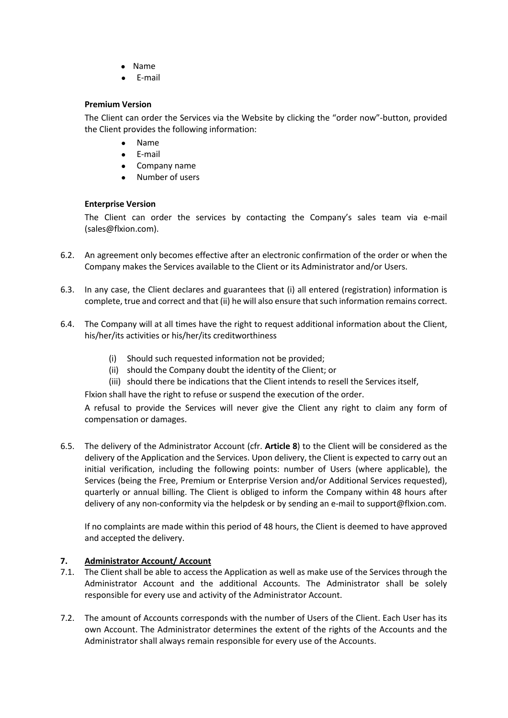- Name
- E-mail

### **Premium Version**

The Client can order the Services via the Website by clicking the "order now"-button, provided the Client provides the following information:

- Name
- E-mail
- Company name
- Number of users

## **Enterprise Version**

The Client can order the services by contacting the Company's sales team via e-mail (sales@flxion.com).

- 6.2. An agreement only becomes effective after an electronic confirmation of the order or when the Company makes the Services available to the Client or its Administrator and/or Users.
- 6.3. In any case, the Client declares and guarantees that (i) all entered (registration) information is complete, true and correct and that (ii) he will also ensure that such information remains correct.
- 6.4. The Company will at all times have the right to request additional information about the Client, his/her/its activities or his/her/its creditworthiness
	- (i) Should such requested information not be provided;
	- (ii) should the Company doubt the identity of the Client; or
	- (iii) should there be indications that the Client intends to resell the Services itself,

Flxion shall have the right to refuse or suspend the execution of the order.

A refusal to provide the Services will never give the Client any right to claim any form of compensation or damages.

6.5. The delivery of the Administrator Account (cfr. **Article 8**) to the Client will be considered as the delivery of the Application and the Services. Upon delivery, the Client is expected to carry out an initial verification, including the following points: number of Users (where applicable), the Services (being the Free, Premium or Enterprise Version and/or Additional Services requested), quarterly or annual billing. The Client is obliged to inform the Company within 48 hours after delivery of any non-conformity via the helpdesk or by sending an e-mail to support@flxion.com.

If no complaints are made within this period of 48 hours, the Client is deemed to have approved and accepted the delivery.

## <span id="page-4-0"></span>**7. Administrator Account/ Account**

- 7.1. The Client shall be able to access the Application as well as make use of the Services through the Administrator Account and the additional Accounts. The Administrator shall be solely responsible for every use and activity of the Administrator Account.
- 7.2. The amount of Accounts corresponds with the number of Users of the Client. Each User has its own Account. The Administrator determines the extent of the rights of the Accounts and the Administrator shall always remain responsible for every use of the Accounts.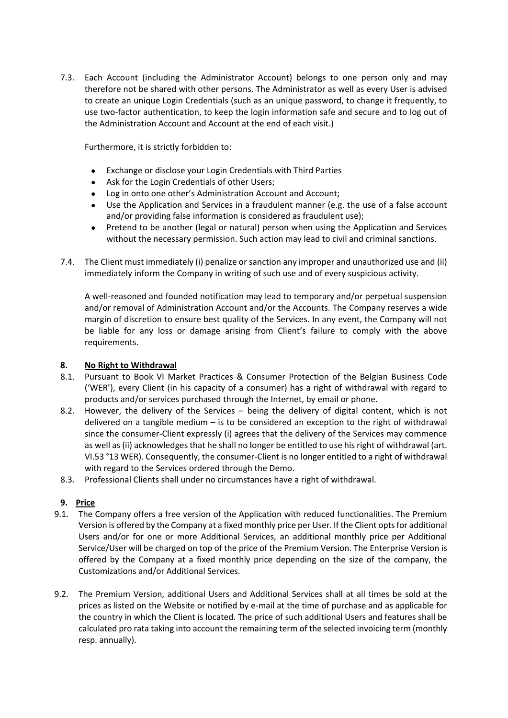7.3. Each Account (including the Administrator Account) belongs to one person only and may therefore not be shared with other persons. The Administrator as well as every User is advised to create an unique Login Credentials (such as an unique password, to change it frequently, to use two-factor authentication, to keep the login information safe and secure and to log out of the Administration Account and Account at the end of each visit.)

Furthermore, it is strictly forbidden to:

- Exchange or disclose your Login Credentials with Third Parties
- Ask for the Login Credentials of other Users;
- Log in onto one other's Administration Account and Account;
- Use the Application and Services in a fraudulent manner (e.g. the use of a false account and/or providing false information is considered as fraudulent use);
- Pretend to be another (legal or natural) person when using the Application and Services without the necessary permission. Such action may lead to civil and criminal sanctions.
- 7.4. The Client must immediately (i) penalize or sanction any improper and unauthorized use and (ii) immediately inform the Company in writing of such use and of every suspicious activity.

A well-reasoned and founded notification may lead to temporary and/or perpetual suspension and/or removal of Administration Account and/or the Accounts. The Company reserves a wide margin of discretion to ensure best quality of the Services. In any event, the Company will not be liable for any loss or damage arising from Client's failure to comply with the above requirements.

## <span id="page-5-0"></span>**8. No Right to Withdrawal**

- 8.1. Pursuant to Book VI Market Practices & Consumer Protection of the Belgian Business Code ('WER'), every Client (in his capacity of a consumer) has a right of withdrawal with regard to products and/or services purchased through the Internet, by email or phone.
- 8.2. However, the delivery of the Services being the delivery of digital content, which is not delivered on a tangible medium – is to be considered an exception to the right of withdrawal since the consumer-Client expressly (i) agrees that the delivery of the Services may commence as well as (ii) acknowledges that he shall no longer be entitled to use his right of withdrawal (art. VI.53 °13 WER). Consequently, the consumer-Client is no longer entitled to a right of withdrawal with regard to the Services ordered through the Demo.
- 8.3. Professional Clients shall under no circumstances have a right of withdrawal.

## <span id="page-5-1"></span>**9. Price**

- 9.1. The Company offers a free version of the Application with reduced functionalities. The Premium Version is offered by the Company at a fixed monthly price per User. If the Client opts for additional Users and/or for one or more Additional Services, an additional monthly price per Additional Service/User will be charged on top of the price of the Premium Version. The Enterprise Version is offered by the Company at a fixed monthly price depending on the size of the company, the Customizations and/or Additional Services.
- 9.2. The Premium Version, additional Users and Additional Services shall at all times be sold at the prices as listed on the Website or notified by e-mail at the time of purchase and as applicable for the country in which the Client is located. The price of such additional Users and features shall be calculated pro rata taking into account the remaining term of the selected invoicing term (monthly resp. annually).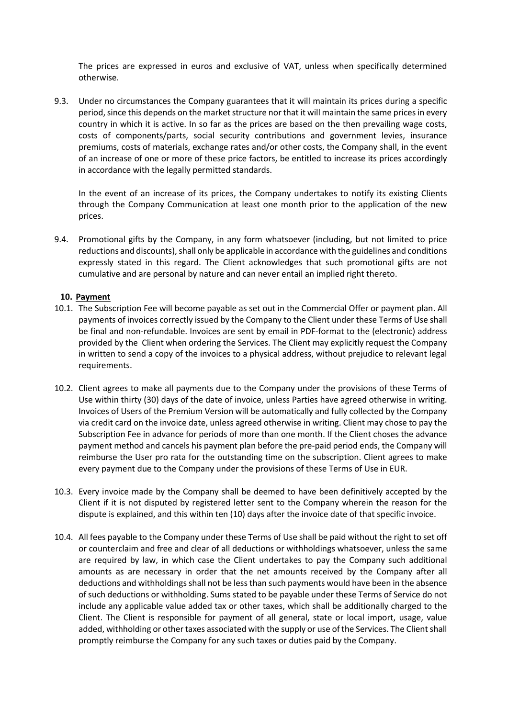The prices are expressed in euros and exclusive of VAT, unless when specifically determined otherwise.

9.3. Under no circumstances the Company guarantees that it will maintain its prices during a specific period, since this depends on the market structure nor that it will maintain the same prices in every country in which it is active. In so far as the prices are based on the then prevailing wage costs, costs of components/parts, social security contributions and government levies, insurance premiums, costs of materials, exchange rates and/or other costs, the Company shall, in the event of an increase of one or more of these price factors, be entitled to increase its prices accordingly in accordance with the legally permitted standards.

In the event of an increase of its prices, the Company undertakes to notify its existing Clients through the Company Communication at least one month prior to the application of the new prices.

9.4. Promotional gifts by the Company, in any form whatsoever (including, but not limited to price reductions and discounts), shall only be applicable in accordance with the guidelines and conditions expressly stated in this regard. The Client acknowledges that such promotional gifts are not cumulative and are personal by nature and can never entail an implied right thereto.

### <span id="page-6-0"></span>**10. Payment**

- 10.1. The Subscription Fee will become payable as set out in the Commercial Offer or payment plan. All payments of invoices correctly issued by the Company to the Client under these Terms of Use shall be final and non-refundable. Invoices are sent by email in PDF-format to the (electronic) address provided by the Client when ordering the Services. The Client may explicitly request the Company in written to send a copy of the invoices to a physical address, without prejudice to relevant legal requirements.
- 10.2. Client agrees to make all payments due to the Company under the provisions of these Terms of Use within thirty (30) days of the date of invoice, unless Parties have agreed otherwise in writing. Invoices of Users of the Premium Version will be automatically and fully collected by the Company via credit card on the invoice date, unless agreed otherwise in writing. Client may chose to pay the Subscription Fee in advance for periods of more than one month. If the Client choses the advance payment method and cancels his payment plan before the pre-paid period ends, the Company will reimburse the User pro rata for the outstanding time on the subscription. Client agrees to make every payment due to the Company under the provisions of these Terms of Use in EUR.
- 10.3. Every invoice made by the Company shall be deemed to have been definitively accepted by the Client if it is not disputed by registered letter sent to the Company wherein the reason for the dispute is explained, and this within ten (10) days after the invoice date of that specific invoice.
- 10.4. All fees payable to the Company under these Terms of Use shall be paid without the right to set off or counterclaim and free and clear of all deductions or withholdings whatsoever, unless the same are required by law, in which case the Client undertakes to pay the Company such additional amounts as are necessary in order that the net amounts received by the Company after all deductions and withholdings shall not be lessthan such payments would have been in the absence of such deductions or withholding. Sums stated to be payable under these Terms of Service do not include any applicable value added tax or other taxes, which shall be additionally charged to the Client. The Client is responsible for payment of all general, state or local import, usage, value added, withholding or other taxes associated with the supply or use of the Services. The Client shall promptly reimburse the Company for any such taxes or duties paid by the Company.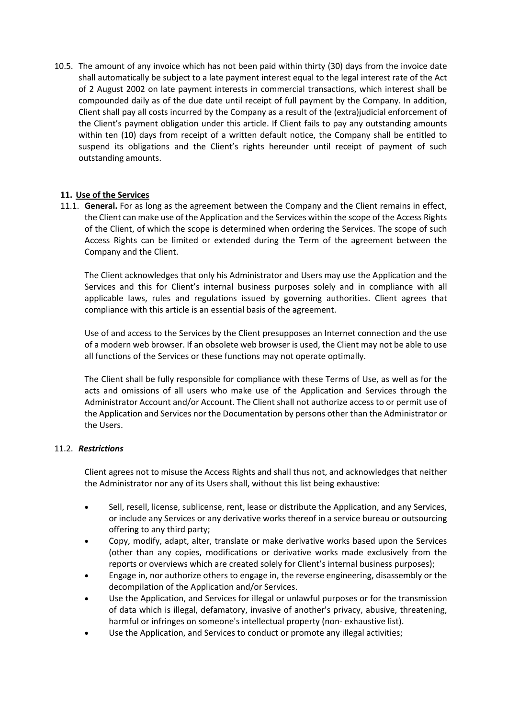10.5. The amount of any invoice which has not been paid within thirty (30) days from the invoice date shall automatically be subject to a late payment interest equal to the legal interest rate of the Act of 2 August 2002 on late payment interests in commercial transactions, which interest shall be compounded daily as of the due date until receipt of full payment by the Company. In addition, Client shall pay all costs incurred by the Company as a result of the (extra)judicial enforcement of the Client's payment obligation under this article. If Client fails to pay any outstanding amounts within ten (10) days from receipt of a written default notice, the Company shall be entitled to suspend its obligations and the Client's rights hereunder until receipt of payment of such outstanding amounts.

## <span id="page-7-0"></span>**11. Use of the Services**

11.1. **General.** For as long as the agreement between the Company and the Client remains in effect, the Client can make use of the Application and the Services within the scope of the Access Rights of the Client, of which the scope is determined when ordering the Services. The scope of such Access Rights can be limited or extended during the Term of the agreement between the Company and the Client.

The Client acknowledges that only his Administrator and Users may use the Application and the Services and this for Client's internal business purposes solely and in compliance with all applicable laws, rules and regulations issued by governing authorities. Client agrees that compliance with this article is an essential basis of the agreement.

Use of and access to the Services by the Client presupposes an Internet connection and the use of a modern web browser. If an obsolete web browser is used, the Client may not be able to use all functions of the Services or these functions may not operate optimally.

The Client shall be fully responsible for compliance with these Terms of Use, as well as for the acts and omissions of all users who make use of the Application and Services through the Administrator Account and/or Account. The Client shall not authorize access to or permit use of the Application and Services nor the Documentation by persons other than the Administrator or the Users.

### 11.2. *Restrictions*

Client agrees not to misuse the Access Rights and shall thus not, and acknowledges that neither the Administrator nor any of its Users shall, without this list being exhaustive:

- Sell, resell, license, sublicense, rent, lease or distribute the Application, and any Services, or include any Services or any derivative works thereof in a service bureau or outsourcing offering to any third party;
- Copy, modify, adapt, alter, translate or make derivative works based upon the Services (other than any copies, modifications or derivative works made exclusively from the reports or overviews which are created solely for Client's internal business purposes);
- Engage in, nor authorize others to engage in, the reverse engineering, disassembly or the decompilation of the Application and/or Services.
- Use the Application, and Services for illegal or unlawful purposes or for the transmission of data which is illegal, defamatory, invasive of another's privacy, abusive, threatening, harmful or infringes on someone's intellectual property (non- exhaustive list).
- Use the Application, and Services to conduct or promote any illegal activities;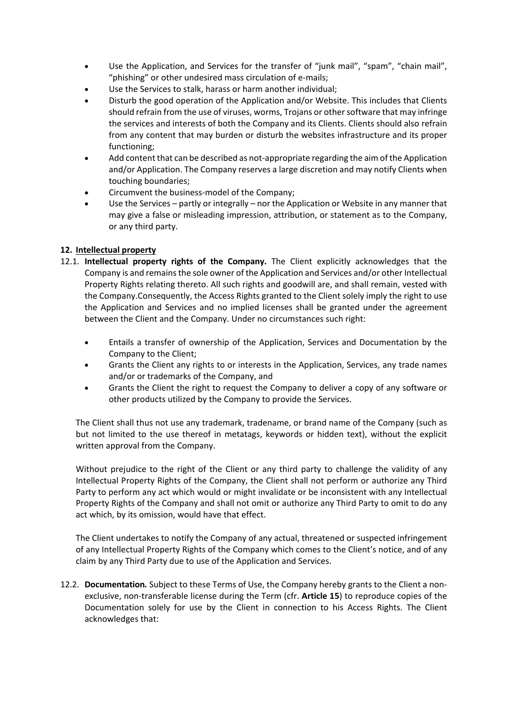- Use the Application, and Services for the transfer of "junk mail", "spam", "chain mail", "phishing" or other undesired mass circulation of e-mails;
- Use the Services to stalk, harass or harm another individual;
- Disturb the good operation of the Application and/or Website. This includes that Clients should refrain from the use of viruses, worms, Trojans or other software that may infringe the services and interests of both the Company and its Clients. Clients should also refrain from any content that may burden or disturb the websites infrastructure and its proper functioning;
- Add content that can be described as not-appropriate regarding the aim of the Application and/or Application. The Company reserves a large discretion and may notify Clients when touching boundaries;
- Circumvent the business-model of the Company;
- Use the Services partly or integrally nor the Application or Website in any manner that may give a false or misleading impression, attribution, or statement as to the Company, or any third party.

## <span id="page-8-0"></span>**12. Intellectual property**

- 12.1. **Intellectual property rights of the Company.** The Client explicitly acknowledges that the Company is and remains the sole owner of the Application and Services and/or other Intellectual Property Rights relating thereto. All such rights and goodwill are, and shall remain, vested with the Company.Consequently, the Access Rights granted to the Client solely imply the right to use the Application and Services and no implied licenses shall be granted under the agreement between the Client and the Company. Under no circumstances such right:
	- Entails a transfer of ownership of the Application, Services and Documentation by the Company to the Client;
	- Grants the Client any rights to or interests in the Application, Services, any trade names and/or or trademarks of the Company, and
	- Grants the Client the right to request the Company to deliver a copy of any software or other products utilized by the Company to provide the Services.

The Client shall thus not use any trademark, tradename, or brand name of the Company (such as but not limited to the use thereof in metatags, keywords or hidden text), without the explicit written approval from the Company.

Without prejudice to the right of the Client or any third party to challenge the validity of any Intellectual Property Rights of the Company, the Client shall not perform or authorize any Third Party to perform any act which would or might invalidate or be inconsistent with any Intellectual Property Rights of the Company and shall not omit or authorize any Third Party to omit to do any act which, by its omission, would have that effect.

The Client undertakes to notify the Company of any actual, threatened or suspected infringement of any Intellectual Property Rights of the Company which comes to the Client's notice, and of any claim by any Third Party due to use of the Application and Services.

12.2. **Documentation***.* Subject to these Terms of Use, the Company hereby grants to the Client a nonexclusive, non-transferable license during the Term (cfr. **Article 15**) to reproduce copies of the Documentation solely for use by the Client in connection to his Access Rights. The Client acknowledges that: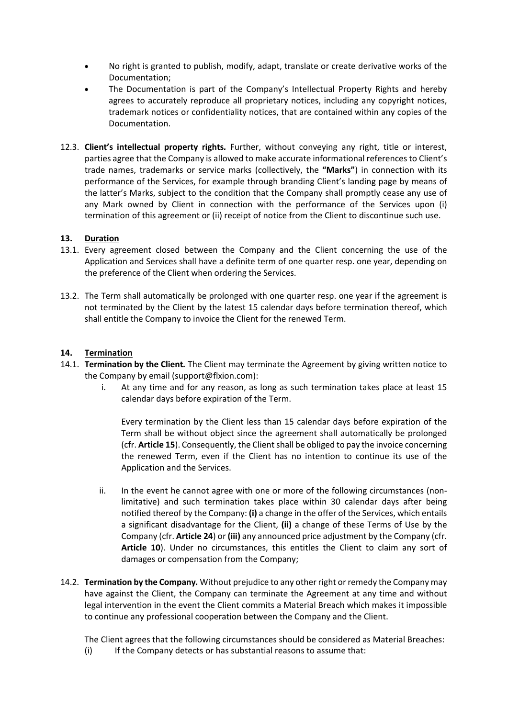- No right is granted to publish, modify, adapt, translate or create derivative works of the Documentation;
- The Documentation is part of the Company's Intellectual Property Rights and hereby agrees to accurately reproduce all proprietary notices, including any copyright notices, trademark notices or confidentiality notices, that are contained within any copies of the Documentation.
- 12.3. **Client's intellectual property rights***.* Further, without conveying any right, title or interest, parties agree that the Company is allowed to make accurate informational references to Client's trade names, trademarks or service marks (collectively, the **"Marks"**) in connection with its performance of the Services, for example through branding Client's landing page by means of the latter's Marks, subject to the condition that the Company shall promptly cease any use of any Mark owned by Client in connection with the performance of the Services upon (i) termination of this agreement or (ii) receipt of notice from the Client to discontinue such use.

## <span id="page-9-0"></span>**13. Duration**

- 13.1. Every agreement closed between the Company and the Client concerning the use of the Application and Services shall have a definite term of one quarter resp. one year, depending on the preference of the Client when ordering the Services.
- 13.2. The Term shall automatically be prolonged with one quarter resp. one year if the agreement is not terminated by the Client by the latest 15 calendar days before termination thereof, which shall entitle the Company to invoice the Client for the renewed Term.

## <span id="page-9-1"></span>**14. Termination**

- 14.1. **Termination by the Client***.* The Client may terminate the Agreement by giving written notice to the Company by email (support@flxion.com):
	- i. At any time and for any reason, as long as such termination takes place at least 15 calendar days before expiration of the Term.

Every termination by the Client less than 15 calendar days before expiration of the Term shall be without object since the agreement shall automatically be prolonged (cfr. **Article 15**). Consequently, the Clientshall be obliged to pay the invoice concerning the renewed Term, even if the Client has no intention to continue its use of the Application and the Services.

- ii. In the event he cannot agree with one or more of the following circumstances (nonlimitative) and such termination takes place within 30 calendar days after being notified thereof by the Company: **(i)** a change in the offer of the Services, which entails a significant disadvantage for the Client, **(ii)** a change of these Terms of Use by the Company (cfr. **Article 24**) or **(iii)** any announced price adjustment by the Company (cfr. **Article 10**). Under no circumstances, this entitles the Client to claim any sort of damages or compensation from the Company;
- 14.2. **Termination by the Company***.* Without prejudice to any other right or remedy the Company may have against the Client, the Company can terminate the Agreement at any time and without legal intervention in the event the Client commits a Material Breach which makes it impossible to continue any professional cooperation between the Company and the Client.

The Client agrees that the following circumstances should be considered as Material Breaches:

(i) If the Company detects or has substantial reasons to assume that: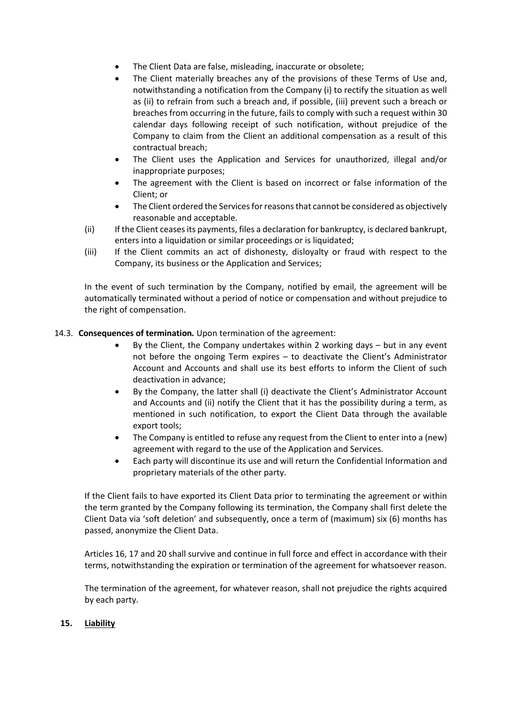- The Client Data are false, misleading, inaccurate or obsolete;
- The Client materially breaches any of the provisions of these Terms of Use and, notwithstanding a notification from the Company (i) to rectify the situation as well as (ii) to refrain from such a breach and, if possible, (iii) prevent such a breach or breaches from occurring in the future, fails to comply with such a request within 30 calendar days following receipt of such notification, without prejudice of the Company to claim from the Client an additional compensation as a result of this contractual breach;
- The Client uses the Application and Services for unauthorized, illegal and/or inappropriate purposes;
- The agreement with the Client is based on incorrect or false information of the Client; or
- The Client ordered the Services for reasons that cannot be considered as objectively reasonable and acceptable.
- (ii) If the Client ceases its payments, files a declaration for bankruptcy, is declared bankrupt, enters into a liquidation or similar proceedings or is liquidated;
- (iii) If the Client commits an act of dishonesty, disloyalty or fraud with respect to the Company, its business or the Application and Services;

In the event of such termination by the Company, notified by email, the agreement will be automatically terminated without a period of notice or compensation and without prejudice to the right of compensation.

## 14.3. **Consequences of termination***.* Upon termination of the agreement:

- By the Client, the Company undertakes within 2 working days but in any event not before the ongoing Term expires – to deactivate the Client's Administrator Account and Accounts and shall use its best efforts to inform the Client of such deactivation in advance;
- By the Company, the latter shall (i) deactivate the Client's Administrator Account and Accounts and (ii) notify the Client that it has the possibility during a term, as mentioned in such notification, to export the Client Data through the available export tools;
- The Company is entitled to refuse any request from the Client to enter into a (new) agreement with regard to the use of the Application and Services.
- Each party will discontinue its use and will return the Confidential Information and proprietary materials of the other party.

If the Client fails to have exported its Client Data prior to terminating the agreement or within the term granted by the Company following its termination, the Company shall first delete the Client Data via 'soft deletion' and subsequently, once a term of (maximum) six (6) months has passed, anonymize the Client Data.

Articles 16, 17 and 20 shall survive and continue in full force and effect in accordance with their terms, notwithstanding the expiration or termination of the agreement for whatsoever reason.

The termination of the agreement, for whatever reason, shall not prejudice the rights acquired by each party.

## <span id="page-10-0"></span>**15. Liability**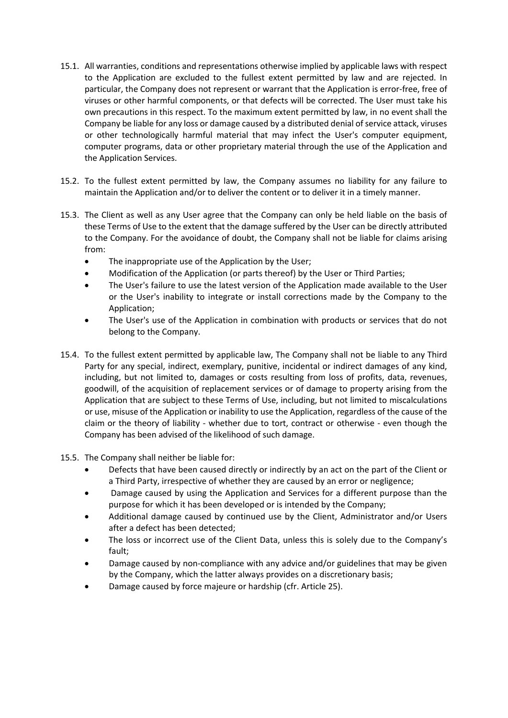- 15.1. All warranties, conditions and representations otherwise implied by applicable laws with respect to the Application are excluded to the fullest extent permitted by law and are rejected. In particular, the Company does not represent or warrant that the Application is error-free, free of viruses or other harmful components, or that defects will be corrected. The User must take his own precautions in this respect. To the maximum extent permitted by law, in no event shall the Company be liable for any loss or damage caused by a distributed denial of service attack, viruses or other technologically harmful material that may infect the User's computer equipment, computer programs, data or other proprietary material through the use of the Application and the Application Services.
- 15.2. To the fullest extent permitted by law, the Company assumes no liability for any failure to maintain the Application and/or to deliver the content or to deliver it in a timely manner.
- 15.3. The Client as well as any User agree that the Company can only be held liable on the basis of these Terms of Use to the extent that the damage suffered by the User can be directly attributed to the Company. For the avoidance of doubt, the Company shall not be liable for claims arising from:
	- The inappropriate use of the Application by the User;
	- Modification of the Application (or parts thereof) by the User or Third Parties;
	- The User's failure to use the latest version of the Application made available to the User or the User's inability to integrate or install corrections made by the Company to the Application;
	- The User's use of the Application in combination with products or services that do not belong to the Company.
- 15.4. To the fullest extent permitted by applicable law, The Company shall not be liable to any Third Party for any special, indirect, exemplary, punitive, incidental or indirect damages of any kind, including, but not limited to, damages or costs resulting from loss of profits, data, revenues, goodwill, of the acquisition of replacement services or of damage to property arising from the Application that are subject to these Terms of Use, including, but not limited to miscalculations or use, misuse of the Application or inability to use the Application, regardless of the cause of the claim or the theory of liability - whether due to tort, contract or otherwise - even though the Company has been advised of the likelihood of such damage.
- 15.5. The Company shall neither be liable for:
	- Defects that have been caused directly or indirectly by an act on the part of the Client or a Third Party, irrespective of whether they are caused by an error or negligence;
	- Damage caused by using the Application and Services for a different purpose than the purpose for which it has been developed or is intended by the Company;
	- Additional damage caused by continued use by the Client, Administrator and/or Users after a defect has been detected;
	- The loss or incorrect use of the Client Data, unless this is solely due to the Company's fault;
	- Damage caused by non-compliance with any advice and/or guidelines that may be given by the Company, which the latter always provides on a discretionary basis;
	- Damage caused by force majeure or hardship (cfr. Article 25).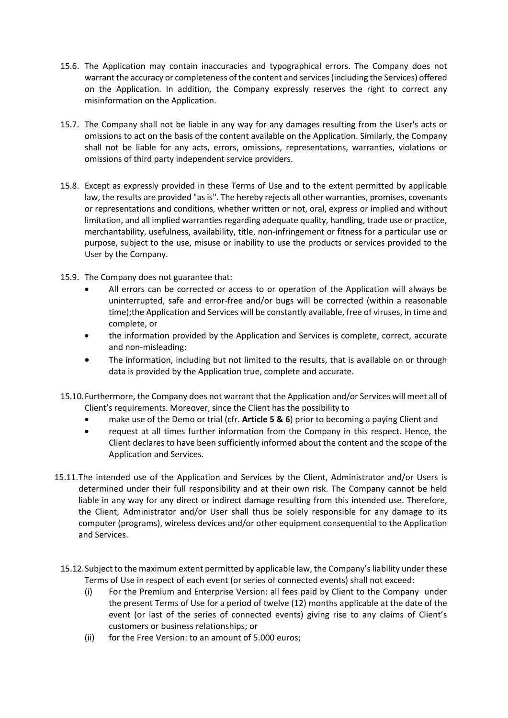- 15.6. The Application may contain inaccuracies and typographical errors. The Company does not warrant the accuracy or completeness of the content and services (including the Services) offered on the Application. In addition, the Company expressly reserves the right to correct any misinformation on the Application.
- 15.7. The Company shall not be liable in any way for any damages resulting from the User's acts or omissions to act on the basis of the content available on the Application. Similarly, the Company shall not be liable for any acts, errors, omissions, representations, warranties, violations or omissions of third party independent service providers.
- 15.8. Except as expressly provided in these Terms of Use and to the extent permitted by applicable law, the results are provided "as is". The hereby rejects all other warranties, promises, covenants or representations and conditions, whether written or not, oral, express or implied and without limitation, and all implied warranties regarding adequate quality, handling, trade use or practice, merchantability, usefulness, availability, title, non-infringement or fitness for a particular use or purpose, subject to the use, misuse or inability to use the products or services provided to the User by the Company.
- 15.9. The Company does not guarantee that:
	- All errors can be corrected or access to or operation of the Application will always be uninterrupted, safe and error-free and/or bugs will be corrected (within a reasonable time);the Application and Services will be constantly available, free of viruses, in time and complete, or
	- the information provided by the Application and Services is complete, correct, accurate and non-misleading:
	- The information, including but not limited to the results, that is available on or through data is provided by the Application true, complete and accurate.
- 15.10.Furthermore, the Company does not warrant that the Application and/or Services will meet all of Client's requirements. Moreover, since the Client has the possibility to
	- make use of the Demo or trial (cfr. **Article 5 & 6**) prior to becoming a paying Client and
	- request at all times further information from the Company in this respect. Hence, the Client declares to have been sufficiently informed about the content and the scope of the Application and Services.
- 15.11.The intended use of the Application and Services by the Client, Administrator and/or Users is determined under their full responsibility and at their own risk. The Company cannot be held liable in any way for any direct or indirect damage resulting from this intended use. Therefore, the Client, Administrator and/or User shall thus be solely responsible for any damage to its computer (programs), wireless devices and/or other equipment consequential to the Application and Services.
- 15.12.Subject to the maximum extent permitted by applicable law, the Company's liability under these Terms of Use in respect of each event (or series of connected events) shall not exceed:
	- (i) For the Premium and Enterprise Version: all fees paid by Client to the Company under the present Terms of Use for a period of twelve (12) months applicable at the date of the event (or last of the series of connected events) giving rise to any claims of Client's customers or business relationships; or
	- (ii) for the Free Version: to an amount of 5.000 euros;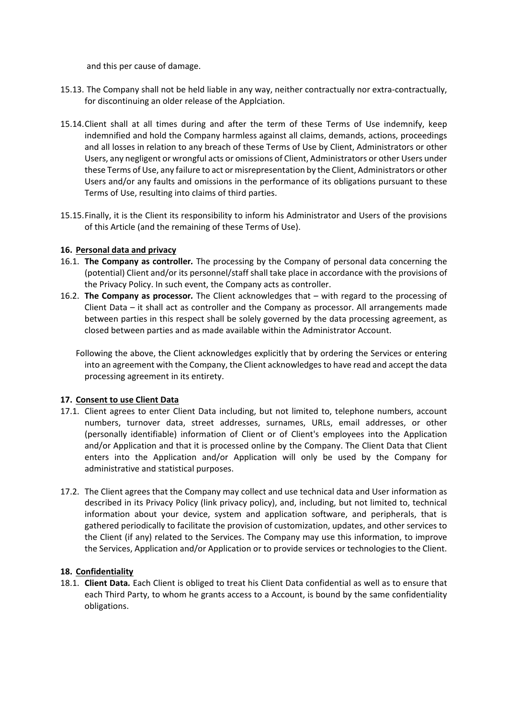and this per cause of damage.

- 15.13. The Company shall not be held liable in any way, neither contractually nor extra-contractually, for discontinuing an older release of the Applciation.
- 15.14.Client shall at all times during and after the term of these Terms of Use indemnify, keep indemnified and hold the Company harmless against all claims, demands, actions, proceedings and all losses in relation to any breach of these Terms of Use by Client, Administrators or other Users, any negligent or wrongful acts or omissions of Client, Administrators or other Users under these Terms of Use, any failure to act or misrepresentation by the Client, Administrators or other Users and/or any faults and omissions in the performance of its obligations pursuant to these Terms of Use, resulting into claims of third parties.
- 15.15.Finally, it is the Client its responsibility to inform his Administrator and Users of the provisions of this Article (and the remaining of these Terms of Use).

## <span id="page-13-0"></span>**16. Personal data and privacy**

- 16.1. **The Company as controller***.* The processing by the Company of personal data concerning the (potential) Client and/or its personnel/staff shall take place in accordance with the provisions of the Privacy Policy. In such event, the Company acts as controller.
- 16.2. **The Company as processor***.* The Client acknowledges that with regard to the processing of Client Data – it shall act as controller and the Company as processor. All arrangements made between parties in this respect shall be solely governed by the data processing agreement, as closed between parties and as made available within the Administrator Account.
	- Following the above, the Client acknowledges explicitly that by ordering the Services or entering into an agreement with the Company, the Client acknowledges to have read and accept the data processing agreement in its entirety.

## <span id="page-13-1"></span>**17. Consent to use Client Data**

- 17.1. Client agrees to enter Client Data including, but not limited to, telephone numbers, account numbers, turnover data, street addresses, surnames, URLs, email addresses, or other (personally identifiable) information of Client or of Client's employees into the Application and/or Application and that it is processed online by the Company. The Client Data that Client enters into the Application and/or Application will only be used by the Company for administrative and statistical purposes.
- 17.2. The Client agrees that the Company may collect and use technical data and User information as described in its Privacy Policy (link privacy policy), and, including, but not limited to, technical information about your device, system and application software, and peripherals, that is gathered periodically to facilitate the provision of customization, updates, and other services to the Client (if any) related to the Services. The Company may use this information, to improve the Services, Application and/or Application or to provide services or technologies to the Client.

### <span id="page-13-2"></span>**18. Confidentiality**

18.1. **Client Data***.* Each Client is obliged to treat his Client Data confidential as well as to ensure that each Third Party, to whom he grants access to a Account, is bound by the same confidentiality obligations.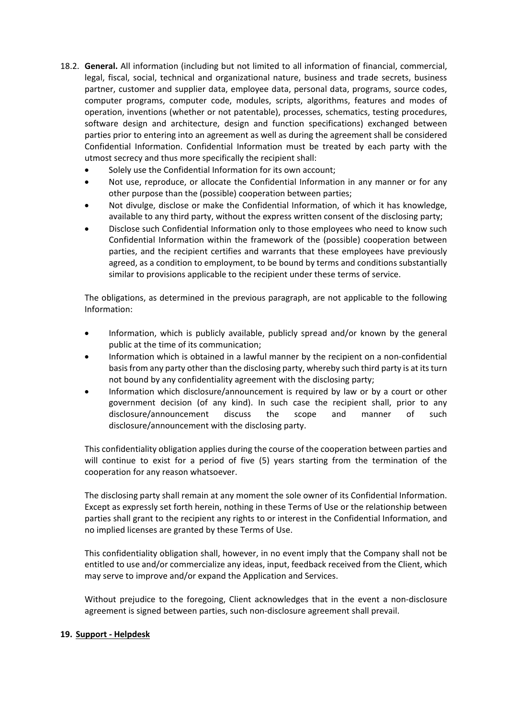- 18.2. **General.** All information (including but not limited to all information of financial, commercial, legal, fiscal, social, technical and organizational nature, business and trade secrets, business partner, customer and supplier data, employee data, personal data, programs, source codes, computer programs, computer code, modules, scripts, algorithms, features and modes of operation, inventions (whether or not patentable), processes, schematics, testing procedures, software design and architecture, design and function specifications) exchanged between parties prior to entering into an agreement as well as during the agreement shall be considered Confidential Information. Confidential Information must be treated by each party with the utmost secrecy and thus more specifically the recipient shall:
	- Solely use the Confidential Information for its own account;
	- Not use, reproduce, or allocate the Confidential Information in any manner or for any other purpose than the (possible) cooperation between parties;
	- Not divulge, disclose or make the Confidential Information, of which it has knowledge, available to any third party, without the express written consent of the disclosing party;
	- Disclose such Confidential Information only to those employees who need to know such Confidential Information within the framework of the (possible) cooperation between parties, and the recipient certifies and warrants that these employees have previously agreed, as a condition to employment, to be bound by terms and conditions substantially similar to provisions applicable to the recipient under these terms of service.

The obligations, as determined in the previous paragraph, are not applicable to the following Information:

- Information, which is publicly available, publicly spread and/or known by the general public at the time of its communication;
- Information which is obtained in a lawful manner by the recipient on a non-confidential basis from any party other than the disclosing party, whereby such third party is at its turn not bound by any confidentiality agreement with the disclosing party;
- Information which disclosure/announcement is required by law or by a court or other government decision (of any kind). In such case the recipient shall, prior to any disclosure/announcement discuss the scope and manner of such disclosure/announcement with the disclosing party.

This confidentiality obligation applies during the course of the cooperation between parties and will continue to exist for a period of five (5) years starting from the termination of the cooperation for any reason whatsoever.

The disclosing party shall remain at any moment the sole owner of its Confidential Information. Except as expressly set forth herein, nothing in these Terms of Use or the relationship between parties shall grant to the recipient any rights to or interest in the Confidential Information, and no implied licenses are granted by these Terms of Use.

This confidentiality obligation shall, however, in no event imply that the Company shall not be entitled to use and/or commercialize any ideas, input, feedback received from the Client, which may serve to improve and/or expand the Application and Services.

Without prejudice to the foregoing, Client acknowledges that in the event a non-disclosure agreement is signed between parties, such non-disclosure agreement shall prevail.

### <span id="page-14-0"></span>**19. Support - Helpdesk**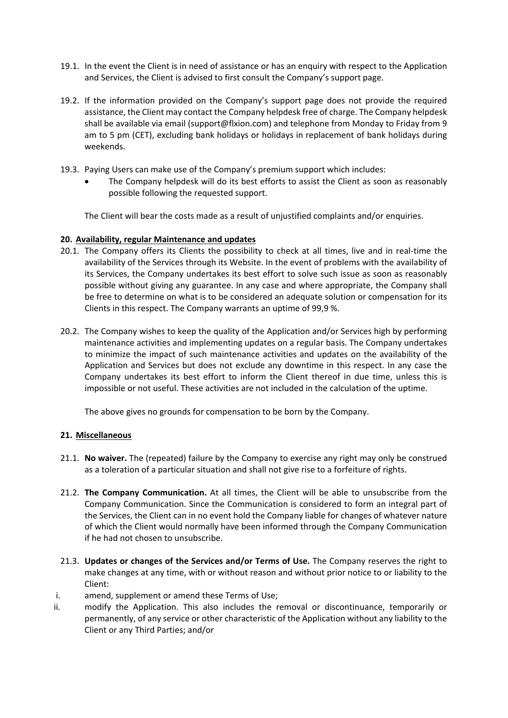- 19.1. In the event the Client is in need of assistance or has an enquiry with respect to the Application and Services, the Client is advised to first consult the Company's support page.
- 19.2. If the information provided on the Company's support page does not provide the required assistance, the Client may contact the Company helpdesk free of charge. The Company helpdesk shall be available via email (support@flxion.com) and telephone from Monday to Friday from 9 am to 5 pm (CET), excluding bank holidays or holidays in replacement of bank holidays during weekends.
- 19.3. Paying Users can make use of the Company's premium support which includes:
	- The Company helpdesk will do its best efforts to assist the Client as soon as reasonably possible following the requested support.

The Client will bear the costs made as a result of unjustified complaints and/or enquiries.

## <span id="page-15-0"></span>**20. Availability, regular Maintenance and updates**

- 20.1. The Company offers its Clients the possibility to check at all times, live and in real-time the availability of the Services through its Website. In the event of problems with the availability of its Services, the Company undertakes its best effort to solve such issue as soon as reasonably possible without giving any guarantee. In any case and where appropriate, the Company shall be free to determine on what is to be considered an adequate solution or compensation for its Clients in this respect. The Company warrants an uptime of 99,9 %.
- 20.2. The Company wishes to keep the quality of the Application and/or Services high by performing maintenance activities and implementing updates on a regular basis. The Company undertakes to minimize the impact of such maintenance activities and updates on the availability of the Application and Services but does not exclude any downtime in this respect. In any case the Company undertakes its best effort to inform the Client thereof in due time, unless this is impossible or not useful. These activities are not included in the calculation of the uptime.

The above gives no grounds for compensation to be born by the Company.

### <span id="page-15-1"></span>**21. Miscellaneous**

- 21.1. **No waiver.** The (repeated) failure by the Company to exercise any right may only be construed as a toleration of a particular situation and shall not give rise to a forfeiture of rights.
- 21.2. **The Company Communication.** At all times, the Client will be able to unsubscribe from the Company Communication. Since the Communication is considered to form an integral part of the Services, the Client can in no event hold the Company liable for changes of whatever nature of which the Client would normally have been informed through the Company Communication if he had not chosen to unsubscribe.
- 21.3. **Updates or changes of the Services and/or Terms of Use.** The Company reserves the right to make changes at any time, with or without reason and without prior notice to or liability to the Client:
- i. amend, supplement or amend these Terms of Use;
- ii. modify the Application. This also includes the removal or discontinuance, temporarily or permanently, of any service or other characteristic of the Application without any liability to the Client or any Third Parties; and/or